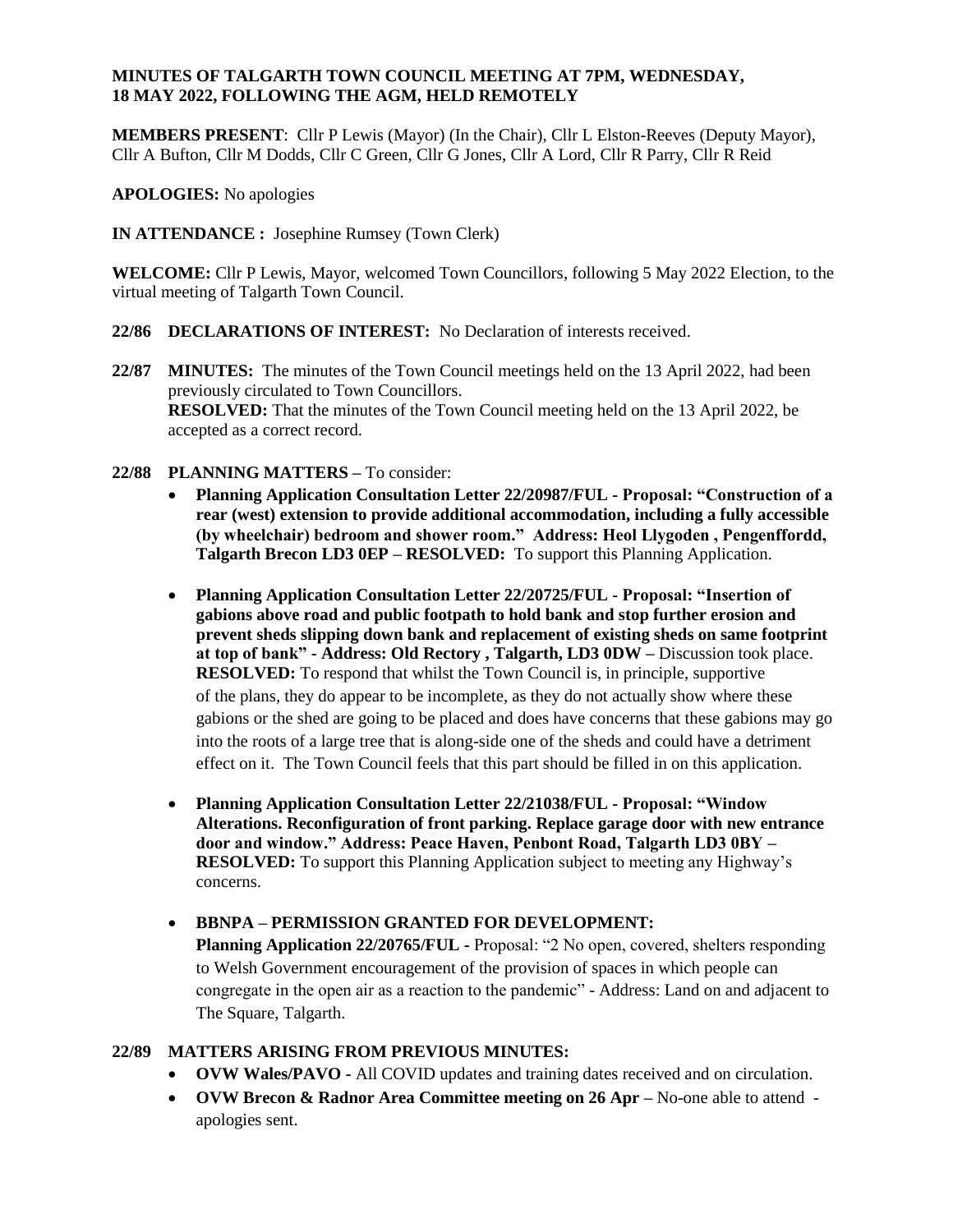### **MINUTES OF TALGARTH TOWN COUNCIL MEETING AT 7PM, WEDNESDAY, 18 MAY 2022, FOLLOWING THE AGM, HELD REMOTELY**

**MEMBERS PRESENT**: Cllr P Lewis (Mayor) (In the Chair), Cllr L Elston-Reeves (Deputy Mayor), Cllr A Bufton, Cllr M Dodds, Cllr C Green, Cllr G Jones, Cllr A Lord, Cllr R Parry, Cllr R Reid

**APOLOGIES:** No apologies

**IN ATTENDANCE :** Josephine Rumsey (Town Clerk)

**WELCOME:** Cllr P Lewis, Mayor, welcomed Town Councillors, following 5 May 2022 Election, to the virtual meeting of Talgarth Town Council.

- **22/86 DECLARATIONS OF INTEREST:** No Declaration of interests received.
- **22/87 MINUTES:** The minutes of the Town Council meetings held on the 13 April 2022, had been previously circulated to Town Councillors. **RESOLVED:** That the minutes of the Town Council meeting held on the 13 April 2022, be accepted as a correct record.
- **22/88 PLANNING MATTERS –** To consider:
	- **Planning Application Consultation Letter 22/20987/FUL - Proposal: "Construction of a rear (west) extension to provide additional accommodation, including a fully accessible (by wheelchair) bedroom and shower room." Address: Heol Llygoden , Pengenffordd, Talgarth Brecon LD3 0EP – RESOLVED:** To support this Planning Application.
	- **Planning Application Consultation Letter 22/20725/FUL - Proposal: "Insertion of gabions above road and public footpath to hold bank and stop further erosion and prevent sheds slipping down bank and replacement of existing sheds on same footprint at top of bank" - Address: Old Rectory , Talgarth, LD3 0DW –** Discussion took place. **RESOLVED:** To respond that whilst the Town Council is, in principle, supportive of the plans, they do appear to be incomplete, as they do not actually show where these gabions or the shed are going to be placed and does have concerns that these gabions may go into the roots of a large tree that is along-side one of the sheds and could have a detriment effect on it. The Town Council feels that this part should be filled in on this application.
	- **Planning Application Consultation Letter 22/21038/FUL - Proposal: "Window Alterations. Reconfiguration of front parking. Replace garage door with new entrance door and window." Address: Peace Haven, Penbont Road, Talgarth LD3 0BY – RESOLVED:** To support this Planning Application subject to meeting any Highway's concerns.
	- **BBNPA – PERMISSION GRANTED FOR DEVELOPMENT:**

**Planning Application 22/20765/FUL -** Proposal: "2 No open, covered, shelters responding to Welsh Government encouragement of the provision of spaces in which people can congregate in the open air as a reaction to the pandemic" - Address: Land on and adjacent to The Square, Talgarth.

### **22/89 MATTERS ARISING FROM PREVIOUS MINUTES:**

- **OVW Wales/PAVO -** All COVID updates and training dates received and on circulation.
- **OVW Brecon & Radnor Area Committee meeting on 26 Apr –** No-one able to attend apologies sent.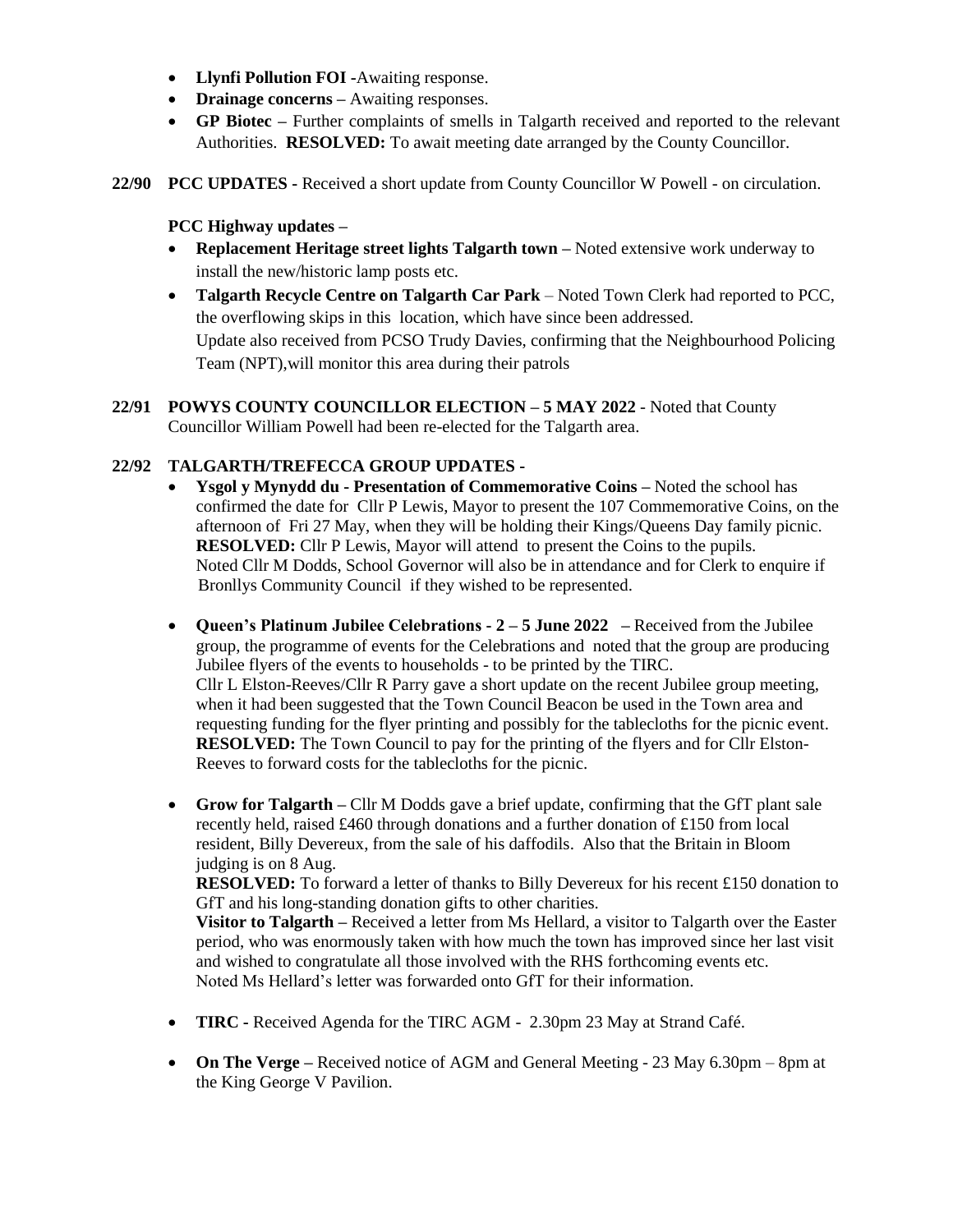- **Llynfi Pollution FOI -**Awaiting response.
- **Drainage concerns** Awaiting responses.
- **GP Biotec –** Further complaints of smells in Talgarth received and reported to the relevant Authorities. **RESOLVED:** To await meeting date arranged by the County Councillor.
- **22/90 PCC UPDATES -** Received a short update from County Councillor W Powell on circulation.

# **PCC Highway updates –**

- **Replacement Heritage street lights Talgarth town –** Noted extensive work underway to install the new/historic lamp posts etc.
- **Talgarth Recycle Centre on Talgarth Car Park**  Noted Town Clerk had reported to PCC, the overflowing skips in this location, which have since been addressed. Update also received from PCSO Trudy Davies, confirming that the Neighbourhood Policing Team (NPT),will monitor this area during their patrols
- **22/91 POWYS COUNTY COUNCILLOR ELECTION – 5 MAY 2022**  Noted that County Councillor William Powell had been re-elected for the Talgarth area.

## **22/92 TALGARTH/TREFECCA GROUP UPDATES -**

- **Ysgol y Mynydd du - Presentation of Commemorative Coins –** Noted the school has confirmed the date for Cllr P Lewis, Mayor to present the 107 Commemorative Coins, on the afternoon of Fri 27 May, when they will be holding their Kings/Queens Day family picnic. **RESOLVED:** Cllr P Lewis, Mayor will attend to present the Coins to the pupils. Noted Cllr M Dodds, School Governor will also be in attendance and for Clerk to enquire if Bronllys Community Council if they wished to be represented.
- **Queen's Platinum Jubilee Celebrations - 2 – 5 June 2022 –** Received from the Jubilee group, the programme of events for the Celebrations and noted that the group are producing Jubilee flyers of the events to households - to be printed by the TIRC. Cllr L Elston-Reeves/Cllr R Parry gave a short update on the recent Jubilee group meeting, when it had been suggested that the Town Council Beacon be used in the Town area and requesting funding for the flyer printing and possibly for the tablecloths for the picnic event. **RESOLVED:** The Town Council to pay for the printing of the flyers and for Cllr Elston-Reeves to forward costs for the tablecloths for the picnic.
- **Grow for Talgarth –** Cllr M Dodds gave a brief update, confirming that the GfT plant sale recently held, raised £460 through donations and a further donation of £150 from local resident, Billy Devereux, from the sale of his daffodils. Also that the Britain in Bloom judging is on 8 Aug.

**RESOLVED:** To forward a letter of thanks to Billy Devereux for his recent £150 donation to GfT and his long-standing donation gifts to other charities.

**Visitor to Talgarth** – Received a letter from Ms Hellard, a visitor to Talgarth over the Easter period, who was enormously taken with how much the town has improved since her last visit and wished to congratulate all those involved with the RHS forthcoming events etc. Noted Ms Hellard's letter was forwarded onto GfT for their information.

- **TIRC -** Received Agenda for the TIRC AGM 2.30pm 23 May at Strand Café.
- **On The Verge –** Received notice of AGM and General Meeting 23 May 6.30pm 8pm at the King George V Pavilion.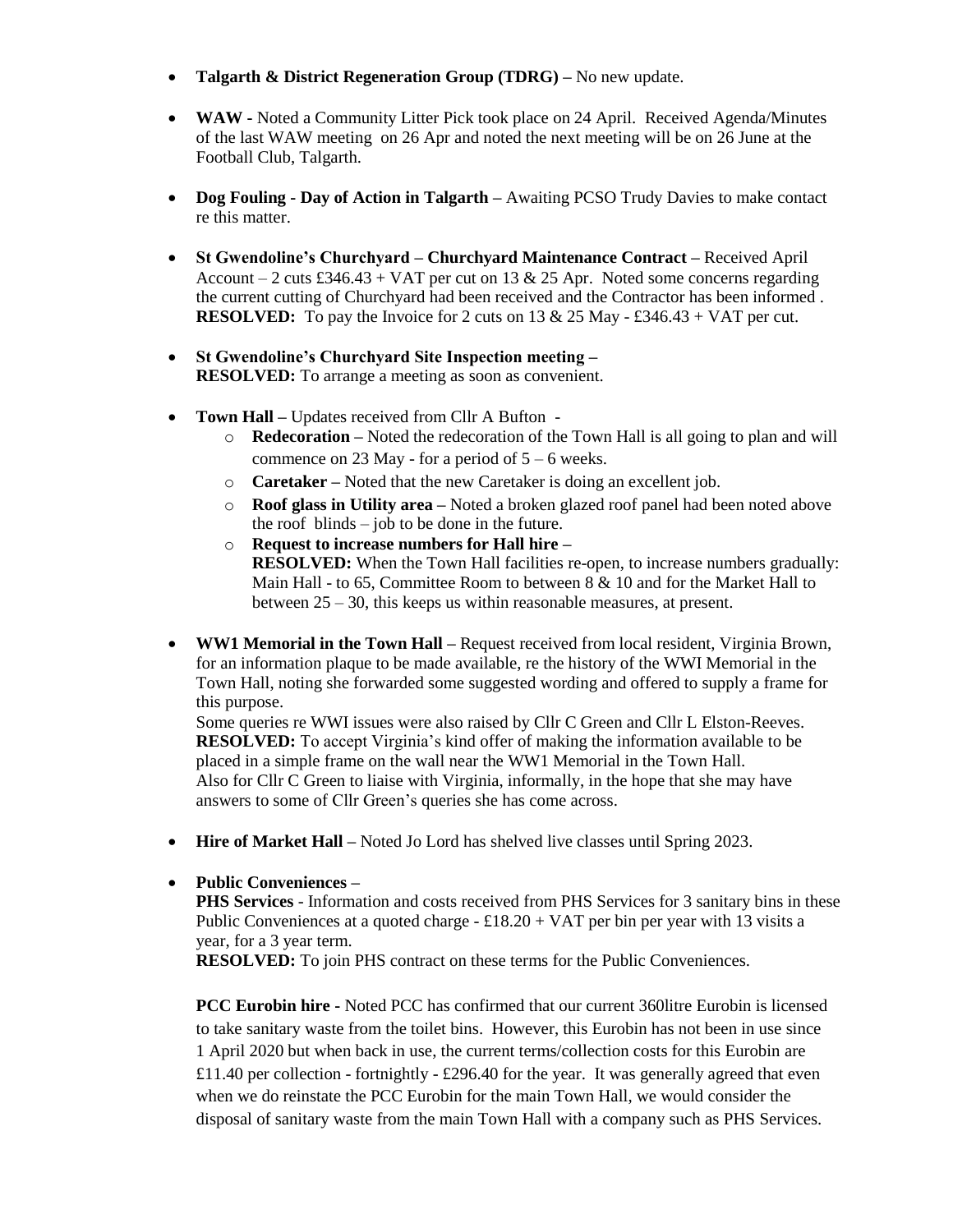- **Talgarth & District Regeneration Group (TDRG) –** No new update.
- **WAW -** Noted a Community Litter Pick took place on 24 April. Received Agenda/Minutes of the last WAW meeting on 26 Apr and noted the next meeting will be on 26 June at the Football Club, Talgarth.
- **Dog Fouling - Day of Action in Talgarth –** Awaiting PCSO Trudy Davies to make contact re this matter.
- **St Gwendoline's Churchyard – Churchyard Maintenance Contract –** Received April Account – 2 cuts £346.43 + VAT per cut on 13 & 25 Apr. Noted some concerns regarding the current cutting of Churchyard had been received and the Contractor has been informed . **RESOLVED:** To pay the Invoice for 2 cuts on 13 & 25 May - £346.43 + VAT per cut.
- **St Gwendoline's Churchyard Site Inspection meeting – RESOLVED:** To arrange a meeting as soon as convenient.
- **Town Hall –** Updates received from Cllr A Bufton
	- o **Redecoration –** Noted the redecoration of the Town Hall is all going to plan and will commence on 23 May - for a period of  $5 - 6$  weeks.
	- o **Caretaker –** Noted that the new Caretaker is doing an excellent job.
	- o **Roof glass in Utility area –** Noted a broken glazed roof panel had been noted above the roof blinds – job to be done in the future.
	- o **Request to increase numbers for Hall hire – RESOLVED:** When the Town Hall facilities re-open, to increase numbers gradually: Main Hall - to 65, Committee Room to between 8 & 10 and for the Market Hall to between 25 – 30, this keeps us within reasonable measures, at present.
- **WW1 Memorial in the Town Hall –** Request received from local resident, Virginia Brown, for an information plaque to be made available, re the history of the WWI Memorial in the Town Hall, noting she forwarded some suggested wording and offered to supply a frame for this purpose.

Some queries re WWI issues were also raised by Cllr C Green and Cllr L Elston-Reeves. **RESOLVED:** To accept Virginia's kind offer of making the information available to be placed in a simple frame on the wall near the WW1 Memorial in the Town Hall. Also for Cllr C Green to liaise with Virginia, informally, in the hope that she may have answers to some of Cllr Green's queries she has come across.

- **Hire of Market Hall** Noted Jo Lord has shelved live classes until Spring 2023.
- **Public Conveniences –**

**PHS Services** - Information and costs received from PHS Services for 3 sanitary bins in these Public Conveniences at a quoted charge  $-£18.20 + VAT$  per bin per year with 13 visits a year, for a 3 year term.

**RESOLVED:** To join PHS contract on these terms for the Public Conveniences.

**PCC Eurobin hire -** Noted PCC has confirmed that our current 360litre Eurobin is licensed to take sanitary waste from the toilet bins. However, this Eurobin has not been in use since 1 April 2020 but when back in use, the current terms/collection costs for this Eurobin are £11.40 per collection - fortnightly - £296.40 for the year. It was generally agreed that even when we do reinstate the PCC Eurobin for the main Town Hall, we would consider the disposal of sanitary waste from the main Town Hall with a company such as PHS Services.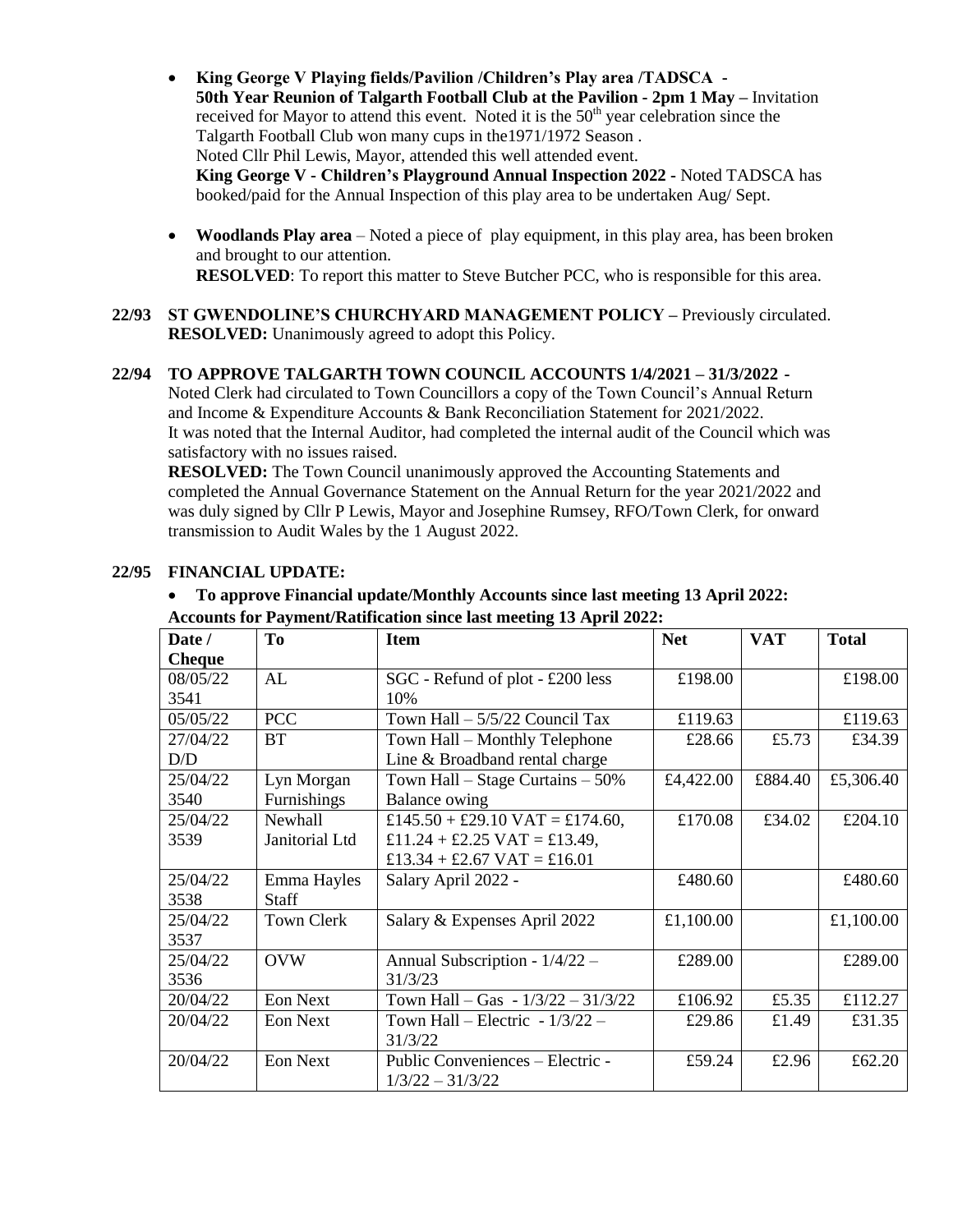- **King George V Playing fields/Pavilion /Children's Play area /TADSCA - 50th Year Reunion of Talgarth Football Club at the Pavilion - 2pm 1 May –** Invitation received for Mayor to attend this event. Noted it is the  $50<sup>th</sup>$  year celebration since the Talgarth Football Club won many cups in the1971/1972 Season . Noted Cllr Phil Lewis, Mayor, attended this well attended event. **King George V - Children's Playground Annual Inspection 2022 -** Noted TADSCA has booked/paid for the Annual Inspection of this play area to be undertaken Aug/ Sept.
- **Woodlands Play area** Noted a piece of play equipment, in this play area, has been broken and brought to our attention. **RESOLVED**: To report this matter to Steve Butcher PCC, who is responsible for this area.
- **22/93 ST GWENDOLINE'S CHURCHYARD MANAGEMENT POLICY –** Previously circulated. **RESOLVED:** Unanimously agreed to adopt this Policy.

### **22/94 TO APPROVE TALGARTH TOWN COUNCIL ACCOUNTS 1/4/2021 – 31/3/2022 -**

Noted Clerk had circulated to Town Councillors a copy of the Town Council's Annual Return and Income & Expenditure Accounts & Bank Reconciliation Statement for 2021/2022. It was noted that the Internal Auditor, had completed the internal audit of the Council which was satisfactory with no issues raised.

**RESOLVED:** The Town Council unanimously approved the Accounting Statements and completed the Annual Governance Statement on the Annual Return for the year 2021/2022 and was duly signed by Cllr P Lewis, Mayor and Josephine Rumsey, RFO/Town Clerk, for onward transmission to Audit Wales by the 1 August 2022.

| <b>Accounts for Payment/Ratification since last meeting 13 April 2022:</b> |                |                                      |            |            |              |  |  |  |  |
|----------------------------------------------------------------------------|----------------|--------------------------------------|------------|------------|--------------|--|--|--|--|
| Date /                                                                     | T <sub>0</sub> | <b>Item</b>                          | <b>Net</b> | <b>VAT</b> | <b>Total</b> |  |  |  |  |
| <b>Cheque</b>                                                              |                |                                      |            |            |              |  |  |  |  |
| 08/05/22                                                                   | AL             | SGC - Refund of plot - £200 less     | £198.00    |            | £198.00      |  |  |  |  |
| 3541                                                                       |                | 10%                                  |            |            |              |  |  |  |  |
| 05/05/22                                                                   | <b>PCC</b>     | Town Hall $-5/5/22$ Council Tax      | £119.63    |            | £119.63      |  |  |  |  |
| 27/04/22                                                                   | <b>BT</b>      | Town Hall - Monthly Telephone        | £28.66     | £5.73      | £34.39       |  |  |  |  |
| D/D                                                                        |                | Line & Broadband rental charge       |            |            |              |  |  |  |  |
| 25/04/22                                                                   | Lyn Morgan     | Town Hall $-$ Stage Curtains $-50\%$ | £4,422.00  | £884.40    | £5,306.40    |  |  |  |  |
| 3540                                                                       | Furnishings    | Balance owing                        |            |            |              |  |  |  |  |
| 25/04/22                                                                   | Newhall        | £145.50 + £29.10 VAT = £174.60,      | £170.08    | £34.02     | £204.10      |  |  |  |  |
| 3539                                                                       | Janitorial Ltd | £11.24 + £2.25 VAT = £13.49,         |            |            |              |  |  |  |  |
|                                                                            |                | £13.34 + £2.67 VAT = £16.01          |            |            |              |  |  |  |  |
| 25/04/22                                                                   | Emma Hayles    | Salary April 2022 -                  | £480.60    |            | £480.60      |  |  |  |  |
| 3538                                                                       | <b>Staff</b>   |                                      |            |            |              |  |  |  |  |
| 25/04/22                                                                   | Town Clerk     | Salary & Expenses April 2022         | £1,100.00  |            | £1,100.00    |  |  |  |  |
| 3537                                                                       |                |                                      |            |            |              |  |  |  |  |
| 25/04/22                                                                   | <b>OVW</b>     | Annual Subscription - 1/4/22 -       | £289.00    |            | £289.00      |  |  |  |  |
| 3536                                                                       |                | 31/3/23                              |            |            |              |  |  |  |  |
| 20/04/22                                                                   | Eon Next       | Town Hall – Gas - $1/3/22 - 31/3/22$ | £106.92    | £5.35      | £112.27      |  |  |  |  |
| 20/04/22                                                                   | Eon Next       | Town Hall – Electric - $1/3/22$ –    | £29.86     | £1.49      | £31.35       |  |  |  |  |
|                                                                            |                | 31/3/22                              |            |            |              |  |  |  |  |
| 20/04/22                                                                   | Eon Next       | Public Conveniences - Electric -     | £59.24     | £2.96      | £62.20       |  |  |  |  |
|                                                                            |                | $1/3/22 - 31/3/22$                   |            |            |              |  |  |  |  |

#### **22/95 FINANCIAL UPDATE:**

## **To approve Financial update/Monthly Accounts since last meeting 13 April 2022: Accounts for Payment/Ratification since last meeting 13 April 2022:**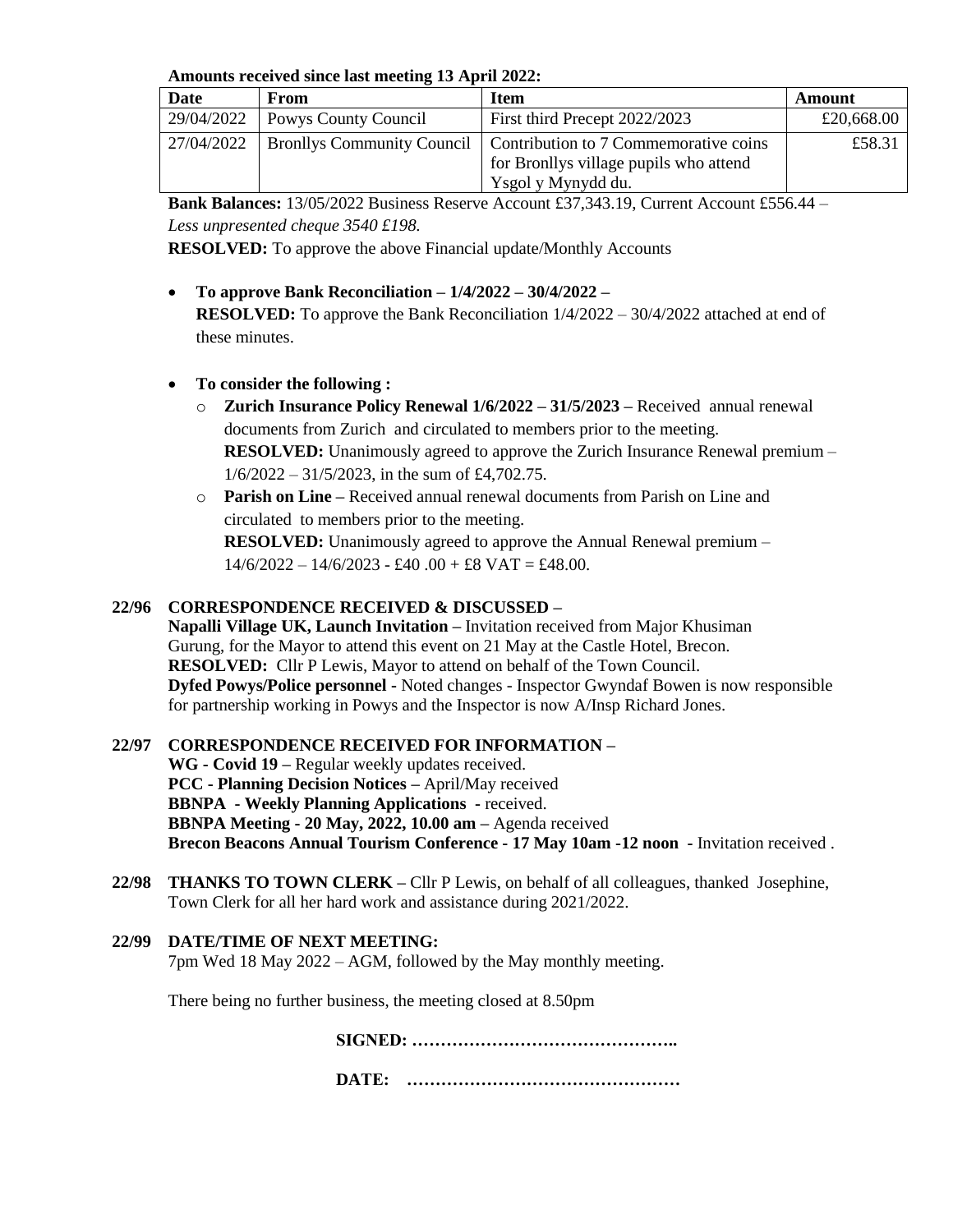**Amounts received since last meeting 13 April 2022:**

| Date       | From                 | <b>Item</b>                                                        | Amount     |
|------------|----------------------|--------------------------------------------------------------------|------------|
| 29/04/2022 | Powys County Council | First third Precept 2022/2023                                      | £20,668.00 |
| 27/04/2022 |                      | Bronllys Community Council   Contribution to 7 Commemorative coins | £58.31     |
|            |                      | for Bronllys village pupils who attend                             |            |
|            |                      | Ysgol y Mynydd du.                                                 |            |

**Bank Balances:** 13/05/2022 Business Reserve Account £37,343.19, Current Account £556.44 – *Less unpresented cheque 3540 £198.*

**RESOLVED:** To approve the above Financial update/Monthly Accounts

 **To approve Bank Reconciliation – 1/4/2022 – 30/4/2022 – RESOLVED:** To approve the Bank Reconciliation 1/4/2022 – 30/4/2022 attached at end of these minutes.

# **To consider the following :**

- o **Zurich Insurance Policy Renewal 1/6/2022 – 31/5/2023 –** Received annual renewal documents from Zurich and circulated to members prior to the meeting. **RESOLVED:** Unanimously agreed to approve the Zurich Insurance Renewal premium –  $1/6/2022 - 31/5/2023$ , in the sum of £4,702.75.
- o **Parish on Line –** Received annual renewal documents from Parish on Line and circulated to members prior to the meeting.

**RESOLVED:** Unanimously agreed to approve the Annual Renewal premium –  $14/6/2022 - 14/6/2023 - £40.00 + £8 \text{ VAT} = £48.00.$ 

# **22/96 CORRESPONDENCE RECEIVED & DISCUSSED –**

**Napalli Village UK, Launch Invitation –** Invitation received from Major Khusiman Gurung, for the Mayor to attend this event on 21 May at the Castle Hotel, Brecon. **RESOLVED:** Cllr P Lewis, Mayor to attend on behalf of the Town Council. **Dyfed Powys/Police personnel -** Noted changes - Inspector Gwyndaf Bowen is now responsible for partnership working in Powys and the Inspector is now A/Insp Richard Jones.

## **22/97 CORRESPONDENCE RECEIVED FOR INFORMATION –**

**WG - Covid 19 –** Regular weekly updates received. **PCC - Planning Decision Notices –** April/May received **BBNPA - Weekly Planning Applications -** received. **BBNPA Meeting - 20 May, 2022, 10.00 am –** Agenda received **Brecon Beacons Annual Tourism Conference - 17 May 10am -12 noon -** Invitation received .

- **22/98 THANKS TO TOWN CLERK –** Cllr P Lewis, on behalf of all colleagues, thanked Josephine, Town Clerk for all her hard work and assistance during 2021/2022.
- **22/99 DATE/TIME OF NEXT MEETING:**  7pm Wed 18 May 2022 – AGM, followed by the May monthly meeting.

There being no further business, the meeting closed at 8.50pm

**SIGNED: ………………………………………..**